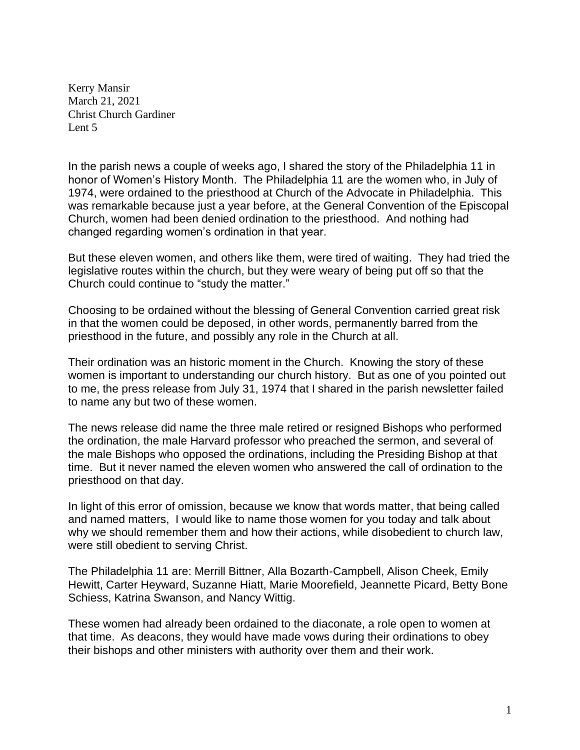Kerry Mansir March 21, 2021 Christ Church Gardiner Lent 5

In the parish news a couple of weeks ago, I shared the story of the Philadelphia 11 in honor of Women's History Month. The Philadelphia 11 are the women who, in July of 1974, were ordained to the priesthood at Church of the Advocate in Philadelphia. This was remarkable because just a year before, at the General Convention of the Episcopal Church, women had been denied ordination to the priesthood. And nothing had changed regarding women's ordination in that year.

But these eleven women, and others like them, were tired of waiting. They had tried the legislative routes within the church, but they were weary of being put off so that the Church could continue to "study the matter."

Choosing to be ordained without the blessing of General Convention carried great risk in that the women could be deposed, in other words, permanently barred from the priesthood in the future, and possibly any role in the Church at all.

Their ordination was an historic moment in the Church. Knowing the story of these women is important to understanding our church history. But as one of you pointed out to me, the press release from July 31, 1974 that I shared in the parish newsletter failed to name any but two of these women.

The news release did name the three male retired or resigned Bishops who performed the ordination, the male Harvard professor who preached the sermon, and several of the male Bishops who opposed the ordinations, including the Presiding Bishop at that time. But it never named the eleven women who answered the call of ordination to the priesthood on that day.

In light of this error of omission, because we know that words matter, that being called and named matters, I would like to name those women for you today and talk about why we should remember them and how their actions, while disobedient to church law, were still obedient to serving Christ.

The Philadelphia 11 are: Merrill Bittner, Alla Bozarth-Campbell, Alison Cheek, Emily Hewitt, Carter Heyward, Suzanne Hiatt, Marie Moorefield, Jeannette Picard, Betty Bone Schiess, Katrina Swanson, and Nancy Wittig.

These women had already been ordained to the diaconate, a role open to women at that time. As deacons, they would have made vows during their ordinations to obey their bishops and other ministers with authority over them and their work.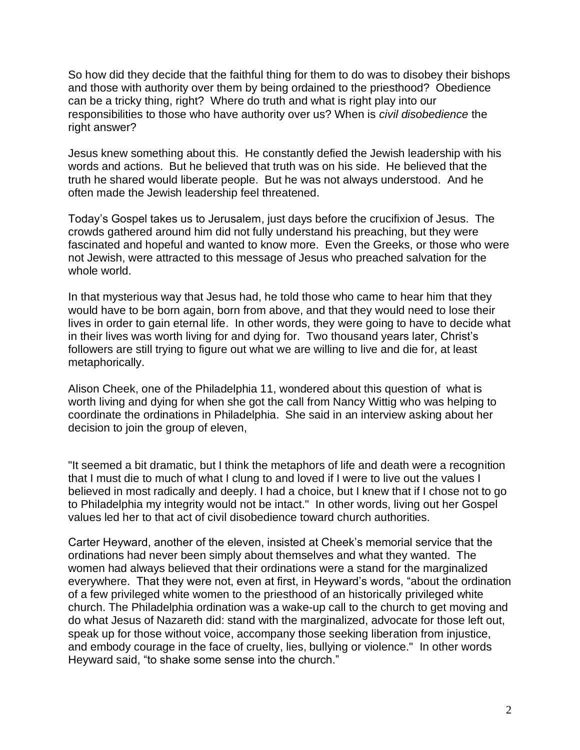So how did they decide that the faithful thing for them to do was to disobey their bishops and those with authority over them by being ordained to the priesthood? Obedience can be a tricky thing, right? Where do truth and what is right play into our responsibilities to those who have authority over us? When is *civil disobedience* the right answer?

Jesus knew something about this. He constantly defied the Jewish leadership with his words and actions. But he believed that truth was on his side. He believed that the truth he shared would liberate people. But he was not always understood. And he often made the Jewish leadership feel threatened.

Today's Gospel takes us to Jerusalem, just days before the crucifixion of Jesus. The crowds gathered around him did not fully understand his preaching, but they were fascinated and hopeful and wanted to know more. Even the Greeks, or those who were not Jewish, were attracted to this message of Jesus who preached salvation for the whole world.

In that mysterious way that Jesus had, he told those who came to hear him that they would have to be born again, born from above, and that they would need to lose their lives in order to gain eternal life. In other words, they were going to have to decide what in their lives was worth living for and dying for. Two thousand years later, Christ's followers are still trying to figure out what we are willing to live and die for, at least metaphorically.

Alison Cheek, one of the Philadelphia 11, wondered about this question of what is worth living and dying for when she got the call from Nancy Wittig who was helping to coordinate the ordinations in Philadelphia. She said in an interview asking about her decision to join the group of eleven,

"It seemed a bit dramatic, but I think the metaphors of life and death were a recognition that I must die to much of what I clung to and loved if I were to live out the values I believed in most radically and deeply. I had a choice, but I knew that if I chose not to go to Philadelphia my integrity would not be intact." In other words, living out her Gospel values led her to that act of civil disobedience toward church authorities.

Carter Heyward, another of the eleven, insisted at Cheek's memorial service that the ordinations had never been simply about themselves and what they wanted. The women had always believed that their ordinations were a stand for the marginalized everywhere. That they were not, even at first, in Heyward's words, "about the ordination of a few privileged white women to the priesthood of an historically privileged white church. The Philadelphia ordination was a wake-up call to the church to get moving and do what Jesus of Nazareth did: stand with the marginalized, advocate for those left out, speak up for those without voice, accompany those seeking liberation from injustice, and embody courage in the face of cruelty, lies, bullying or violence." In other words Heyward said, "to shake some sense into the church."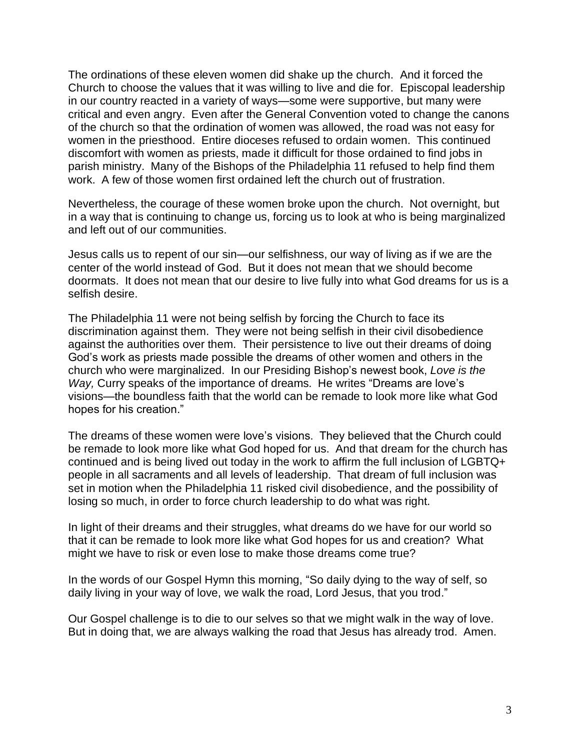The ordinations of these eleven women did shake up the church. And it forced the Church to choose the values that it was willing to live and die for. Episcopal leadership in our country reacted in a variety of ways—some were supportive, but many were critical and even angry. Even after the General Convention voted to change the canons of the church so that the ordination of women was allowed, the road was not easy for women in the priesthood. Entire dioceses refused to ordain women. This continued discomfort with women as priests, made it difficult for those ordained to find jobs in parish ministry. Many of the Bishops of the Philadelphia 11 refused to help find them work. A few of those women first ordained left the church out of frustration.

Nevertheless, the courage of these women broke upon the church. Not overnight, but in a way that is continuing to change us, forcing us to look at who is being marginalized and left out of our communities.

Jesus calls us to repent of our sin—our selfishness, our way of living as if we are the center of the world instead of God. But it does not mean that we should become doormats. It does not mean that our desire to live fully into what God dreams for us is a selfish desire.

The Philadelphia 11 were not being selfish by forcing the Church to face its discrimination against them. They were not being selfish in their civil disobedience against the authorities over them. Their persistence to live out their dreams of doing God's work as priests made possible the dreams of other women and others in the church who were marginalized. In our Presiding Bishop's newest book, *Love is the Way,* Curry speaks of the importance of dreams. He writes "Dreams are love's visions—the boundless faith that the world can be remade to look more like what God hopes for his creation."

The dreams of these women were love's visions. They believed that the Church could be remade to look more like what God hoped for us. And that dream for the church has continued and is being lived out today in the work to affirm the full inclusion of LGBTQ+ people in all sacraments and all levels of leadership. That dream of full inclusion was set in motion when the Philadelphia 11 risked civil disobedience, and the possibility of losing so much, in order to force church leadership to do what was right.

In light of their dreams and their struggles, what dreams do we have for our world so that it can be remade to look more like what God hopes for us and creation? What might we have to risk or even lose to make those dreams come true?

In the words of our Gospel Hymn this morning, "So daily dying to the way of self, so daily living in your way of love, we walk the road, Lord Jesus, that you trod."

Our Gospel challenge is to die to our selves so that we might walk in the way of love. But in doing that, we are always walking the road that Jesus has already trod. Amen.